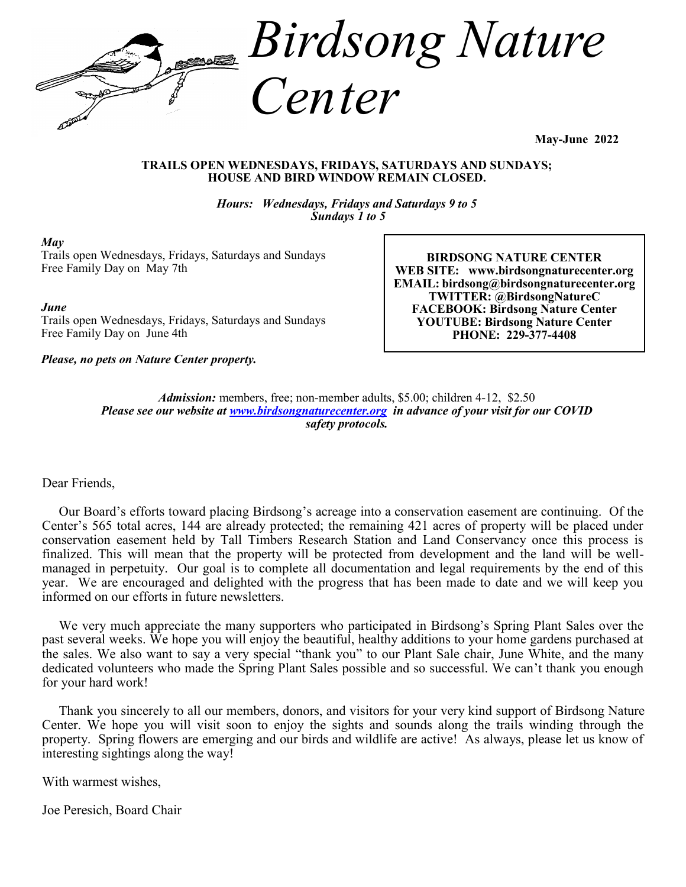

**May-June 2022**

#### **TRAILS OPEN WEDNESDAYS, FRIDAYS, SATURDAYS AND SUNDAYS; HOUSE AND BIRD WINDOW REMAIN CLOSED.**

*Hours: Wednesdays, Fridays and Saturdays 9 to 5 Sundays 1 to 5*

#### *May*

Trails open Wednesdays, Fridays, Saturdays and Sundays Free Family Day on May 7th

*June*

Trails open Wednesdays, Fridays, Saturdays and Sundays Free Family Day on June 4th

*Please, no pets on Nature Center property.*

**BIRDSONG NATURE CENTER WEB SITE: www.birdsongnaturecenter.org EMAIL: birdsong@birdsongnaturecenter.org TWITTER: @BirdsongNatureC FACEBOOK: Birdsong Nature Center YOUTUBE: Birdsong Nature Center PHONE: 229-377-4408**

*Admission:* members, free; non-member adults, \$5.00; children 4-12, \$2.50 *Please see our website at [www.birdsongnaturecenter.org](http://www.birdsongnaturecenter.org) in advance of your visit for our COVID safety protocols.*

### Dear Friends,

 Our Board's efforts toward placing Birdsong's acreage into a conservation easement are continuing. Of the Center's 565 total acres, 144 are already protected; the remaining 421 acres of property will be placed under conservation easement held by Tall Timbers Research Station and Land Conservancy once this process is finalized. This will mean that the property will be protected from development and the land will be wellmanaged in perpetuity. Our goal is to complete all documentation and legal requirements by the end of this year. We are encouraged and delighted with the progress that has been made to date and we will keep you informed on our efforts in future newsletters.

 We very much appreciate the many supporters who participated in Birdsong's Spring Plant Sales over the past several weeks. We hope you will enjoy the beautiful, healthy additions to your home gardens purchased at the sales. We also want to say a very special "thank you" to our Plant Sale chair, June White, and the many dedicated volunteers who made the Spring Plant Sales possible and so successful. We can't thank you enough for your hard work!

 Thank you sincerely to all our members, donors, and visitors for your very kind support of Birdsong Nature Center. We hope you will visit soon to enjoy the sights and sounds along the trails winding through the property. Spring flowers are emerging and our birds and wildlife are active! As always, please let us know of interesting sightings along the way!

With warmest wishes,

Joe Peresich, Board Chair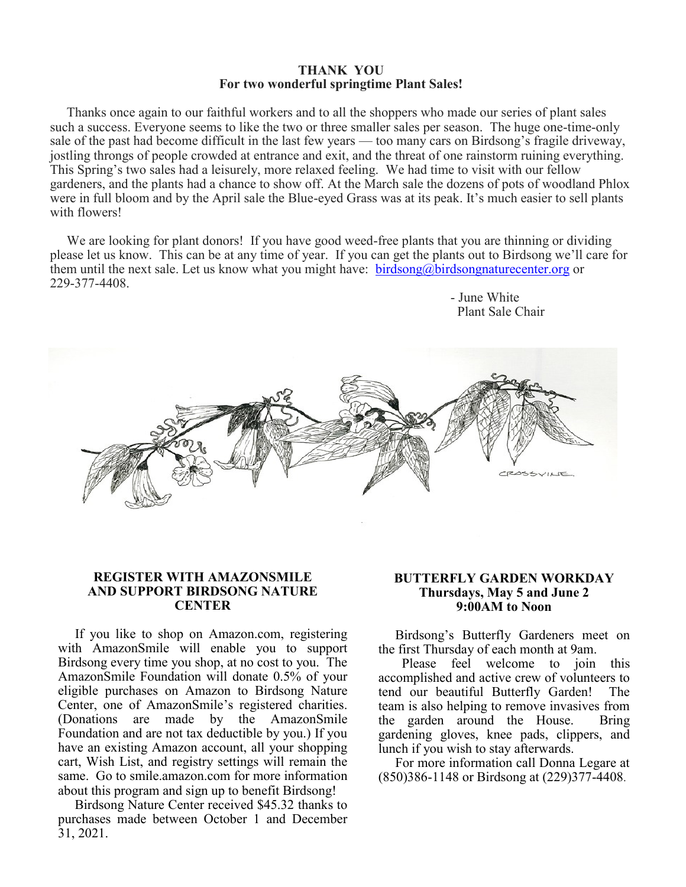#### **THANK YOU For two wonderful springtime Plant Sales!**

 Thanks once again to our faithful workers and to all the shoppers who made our series of plant sales such a success. Everyone seems to like the two or three smaller sales per season. The huge one-time-only sale of the past had become difficult in the last few years — too many cars on Birdsong's fragile driveway, jostling throngs of people crowded at entrance and exit, and the threat of one rainstorm ruining everything. This Spring's two sales had a leisurely, more relaxed feeling. We had time to visit with our fellow gardeners, and the plants had a chance to show off. At the March sale the dozens of pots of woodland Phlox were in full bloom and by the April sale the Blue-eyed Grass was at its peak. It's much easier to sell plants with flowers!

We are looking for plant donors! If you have good weed-free plants that you are thinning or dividing please let us know. This can be at any time of year. If you can get the plants out to Birdsong we'll care for them until the next sale. Let us know what you might have: [birdsong@birdsongnaturecenter.org](mailto:birdsong@birdsongnaturecenter.org) or 229-377-4408.



### **REGISTER WITH AMAZONSMILE AND SUPPORT BIRDSONG NATURE CENTER**

If you like to shop on Amazon.com, registering with AmazonSmile will enable you to support Birdsong every time you shop, at no cost to you. The AmazonSmile Foundation will donate 0.5% of your eligible purchases on Amazon to Birdsong Nature Center, one of AmazonSmile's registered charities. (Donations are made by the AmazonSmile Foundation and are not tax deductible by you.) If you have an existing Amazon account, all your shopping cart, Wish List, and registry settings will remain the same. Go to smile.amazon.com for more information about this program and sign up to benefit Birdsong!

 Birdsong Nature Center received \$45.32 thanks to purchases made between October 1 and December 31, 2021.

#### **BUTTERFLY GARDEN WORKDAY Thursdays, May 5 and June 2 9:00AM to Noon**

 - June White Plant Sale Chair

 Birdsong's Butterfly Gardeners meet on the first Thursday of each month at 9am.

 Please feel welcome to join this accomplished and active crew of volunteers to tend our beautiful Butterfly Garden! The team is also helping to remove invasives from the garden around the House. Bring gardening gloves, knee pads, clippers, and lunch if you wish to stay afterwards.

 For more information call Donna Legare at (850)386-1148 or Birdsong at (229)377-4408.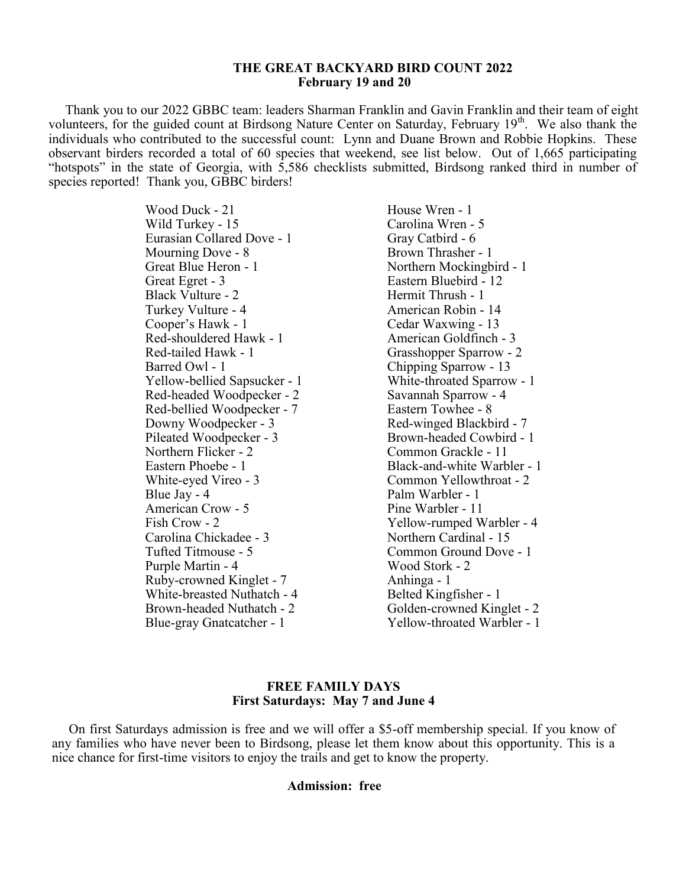#### **THE GREAT BACKYARD BIRD COUNT 2022 February 19 and 20**

 Thank you to our 2022 GBBC team: leaders Sharman Franklin and Gavin Franklin and their team of eight volunteers, for the guided count at Birdsong Nature Center on Saturday, February 19<sup>th</sup>. We also thank the individuals who contributed to the successful count: Lynn and Duane Brown and Robbie Hopkins. These observant birders recorded a total of 60 species that weekend, see list below. Out of 1,665 participating "hotspots" in the state of Georgia, with 5,586 checklists submitted, Birdsong ranked third in number of species reported! Thank you, GBBC birders!

> Wood Duck - 21 House Wren - 1 Wild Turkey - 15 Carolina Wren - 5 Eurasian Collared Dove - 1 Gray Catbird - 6 Mourning Dove - 8 Brown Thrasher - 1 Great Blue Heron - 1 Northern Mockingbird - 1 Great Egret - 3 Eastern Bluebird - 12<br>Black Vulture - 2 Hermit Thrush - 1 Black Vulture - 2 Turkey Vulture - 4 American Robin - 14 Cooper's Hawk - 1 Cedar Waxwing - 13 Red-shouldered Hawk - 1 American Goldfinch - 3 Red-tailed Hawk - 1 Grasshopper Sparrow - 2 Barred Owl - 1 Chipping Sparrow - 13 Yellow-bellied Sapsucker - 1 White-throated Sparrow - 1 Red-headed Woodpecker - 2 Savannah Sparrow - 4<br>Red-bellied Woodpecker - 7 Eastern Towhee - 8 Red-bellied Woodpecker - 7 Downy Woodpecker - 3<br>
> Pileated Woodpecker - 3<br>
> Red-winged Blackbird - 7<br>
> Red-winged Blackbird - 7 Pileated Woodpecker - 3 Northern Flicker - 2 Common Grackle - 11 White-eyed Vireo - 3 Common Yellowthroat - 2 Blue Jay - 4 Palm Warbler - 1 American Crow - 5 Pine Warbler - 11 Tufted Titmouse - 5 Common Ground Dove - 1 Purple Martin - 4 Wood Stork - 2 Ruby-crowned Kinglet - 7 Anhinga - 1 White-breasted Nuthatch - 4 Belted Kingfisher - 1

Eastern Phoebe - 1 Black-and-white Warbler - 1 Fish Crow - 2 Yellow-rumped Warbler - 4<br>Carolina Chickadee - 3 Northern Cardinal - 15 Northern Cardinal - 15 Brown-headed Nuthatch - 2 Golden-crowned Kinglet - 2 Blue-gray Gnatcatcher - 1 Yellow-throated Warbler - 1

#### **FREE FAMILY DAYS First Saturdays: May 7 and June 4**

 On first Saturdays admission is free and we will offer a \$5-off membership special. If you know of any families who have never been to Birdsong, please let them know about this opportunity. This is a nice chance for first-time visitors to enjoy the trails and get to know the property.

#### **Admission: free**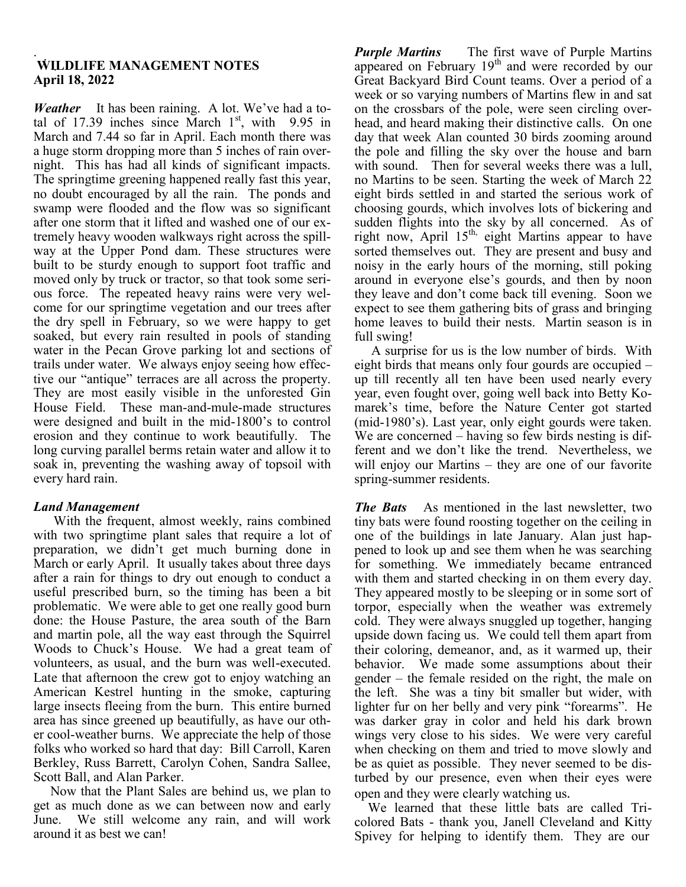#### .<br>., . **WILDLIFE MANAGEMENT NOTES** . **April 18, 2022**

*Weather* It has been raining. A lot. We've had a total of 17.39 inches since March  $1<sup>st</sup>$ , with 9.95 in March and 7.44 so far in April. Each month there was a huge storm dropping more than 5 inches of rain overnight. This has had all kinds of significant impacts. The springtime greening happened really fast this year, no doubt encouraged by all the rain. The ponds and swamp were flooded and the flow was so significant after one storm that it lifted and washed one of our extremely heavy wooden walkways right across the spillway at the Upper Pond dam. These structures were built to be sturdy enough to support foot traffic and moved only by truck or tractor, so that took some serious force. The repeated heavy rains were very welcome for our springtime vegetation and our trees after the dry spell in February, so we were happy to get soaked, but every rain resulted in pools of standing water in the Pecan Grove parking lot and sections of trails under water. We always enjoy seeing how effective our "antique" terraces are all across the property. They are most easily visible in the unforested Gin House Field. These man-and-mule-made structures were designed and built in the mid-1800's to control erosion and they continue to work beautifully. The long curving parallel berms retain water and allow it to soak in, preventing the washing away of topsoil with every hard rain.

# *Land Management*

With the frequent, almost weekly, rains combined with two springtime plant sales that require a lot of preparation, we didn't get much burning done in March or early April. It usually takes about three days after a rain for things to dry out enough to conduct a useful prescribed burn, so the timing has been a bit problematic. We were able to get one really good burn done: the House Pasture, the area south of the Barn and martin pole, all the way east through the Squirrel Woods to Chuck's House. We had a great team of volunteers, as usual, and the burn was well-executed. Late that afternoon the crew got to enjoy watching an American Kestrel hunting in the smoke, capturing large insects fleeing from the burn. This entire burned area has since greened up beautifully, as have our other cool-weather burns. We appreciate the help of those folks who worked so hard that day: Bill Carroll, Karen Berkley, Russ Barrett, Carolyn Cohen, Sandra Sallee, Scott Ball, and Alan Parker.

 Now that the Plant Sales are behind us, we plan to get as much done as we can between now and early June. We still welcome any rain, and will work around it as best we can!

*Purple Martins* The first wave of Purple Martins appeared on February  $19<sup>th</sup>$  and were recorded by our Great Backyard Bird Count teams. Over a period of a week or so varying numbers of Martins flew in and sat on the crossbars of the pole, were seen circling overhead, and heard making their distinctive calls. On one day that week Alan counted 30 birds zooming around the pole and filling the sky over the house and barn with sound. Then for several weeks there was a lull, no Martins to be seen. Starting the week of March 22 eight birds settled in and started the serious work of choosing gourds, which involves lots of bickering and sudden flights into the sky by all concerned. As of right now, April  $15<sup>th</sup>$ , eight Martins appear to have sorted themselves out. They are present and busy and noisy in the early hours of the morning, still poking around in everyone else's gourds, and then by noon they leave and don't come back till evening. Soon we expect to see them gathering bits of grass and bringing home leaves to build their nests. Martin season is in full swing!

 A surprise for us is the low number of birds. With eight birds that means only four gourds are occupied – up till recently all ten have been used nearly every year, even fought over, going well back into Betty Komarek's time, before the Nature Center got started (mid-1980's). Last year, only eight gourds were taken. We are concerned – having so few birds nesting is different and we don't like the trend. Nevertheless, we will enjoy our Martins – they are one of our favorite spring-summer residents.

*The Bats* As mentioned in the last newsletter, two tiny bats were found roosting together on the ceiling in one of the buildings in late January. Alan just happened to look up and see them when he was searching for something. We immediately became entranced with them and started checking in on them every day. They appeared mostly to be sleeping or in some sort of torpor, especially when the weather was extremely cold. They were always snuggled up together, hanging upside down facing us. We could tell them apart from their coloring, demeanor, and, as it warmed up, their behavior. We made some assumptions about their gender – the female resided on the right, the male on the left. She was a tiny bit smaller but wider, with lighter fur on her belly and very pink "forearms". He was darker gray in color and held his dark brown wings very close to his sides. We were very careful when checking on them and tried to move slowly and be as quiet as possible. They never seemed to be disturbed by our presence, even when their eyes were open and they were clearly watching us.

 We learned that these little bats are called Tricolored Bats - thank you, Janell Cleveland and Kitty Spivey for helping to identify them. They are our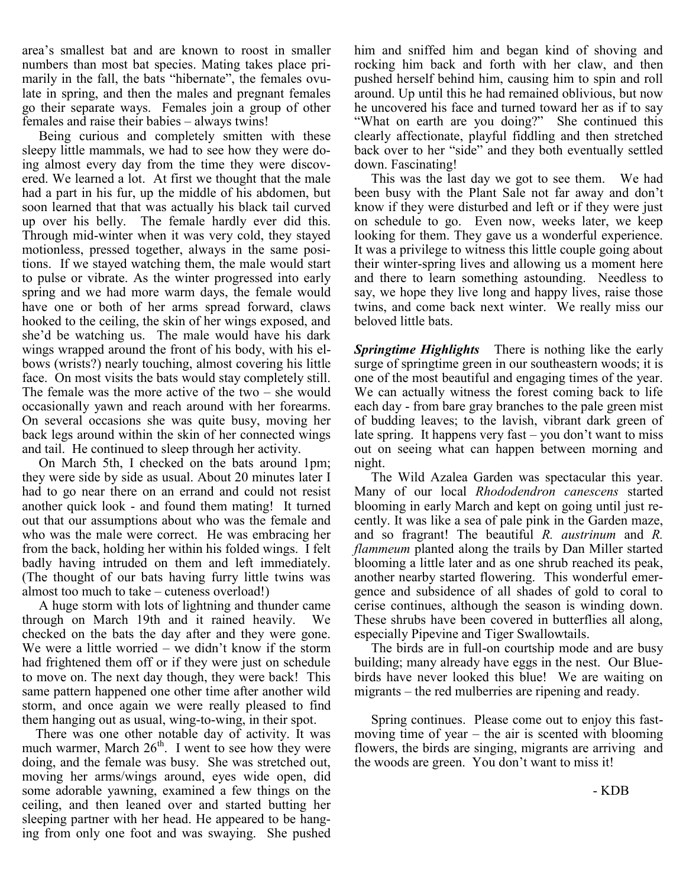area's smallest bat and are known to roost in smaller numbers than most bat species. Mating takes place primarily in the fall, the bats "hibernate", the females ovulate in spring, and then the males and pregnant females go their separate ways. Females join a group of other females and raise their babies – always twins!

 Being curious and completely smitten with these sleepy little mammals, we had to see how they were doing almost every day from the time they were discovered. We learned a lot. At first we thought that the male had a part in his fur, up the middle of his abdomen, but soon learned that that was actually his black tail curved up over his belly. The female hardly ever did this. Through mid-winter when it was very cold, they stayed motionless, pressed together, always in the same positions. If we stayed watching them, the male would start to pulse or vibrate. As the winter progressed into early spring and we had more warm days, the female would have one or both of her arms spread forward, claws hooked to the ceiling, the skin of her wings exposed, and she'd be watching us. The male would have his dark wings wrapped around the front of his body, with his elbows (wrists?) nearly touching, almost covering his little face. On most visits the bats would stay completely still. The female was the more active of the two – she would occasionally yawn and reach around with her forearms. On several occasions she was quite busy, moving her back legs around within the skin of her connected wings and tail. He continued to sleep through her activity.

 On March 5th, I checked on the bats around 1pm; they were side by side as usual. About 20 minutes later I had to go near there on an errand and could not resist another quick look - and found them mating! It turned out that our assumptions about who was the female and who was the male were correct. He was embracing her from the back, holding her within his folded wings. I felt badly having intruded on them and left immediately. (The thought of our bats having furry little twins was almost too much to take – cuteness overload!)

 A huge storm with lots of lightning and thunder came through on March 19th and it rained heavily. We checked on the bats the day after and they were gone. We were a little worried – we didn't know if the storm had frightened them off or if they were just on schedule to move on. The next day though, they were back! This same pattern happened one other time after another wild storm, and once again we were really pleased to find them hanging out as usual, wing-to-wing, in their spot.

 There was one other notable day of activity. It was much warmer, March  $26<sup>th</sup>$ . I went to see how they were doing, and the female was busy. She was stretched out, moving her arms/wings around, eyes wide open, did some adorable yawning, examined a few things on the ceiling, and then leaned over and started butting her sleeping partner with her head. He appeared to be hanging from only one foot and was swaying. She pushed

him and sniffed him and began kind of shoving and rocking him back and forth with her claw, and then pushed herself behind him, causing him to spin and roll around. Up until this he had remained oblivious, but now he uncovered his face and turned toward her as if to say "What on earth are you doing?" She continued this clearly affectionate, playful fiddling and then stretched back over to her "side" and they both eventually settled down. Fascinating!

 This was the last day we got to see them. We had been busy with the Plant Sale not far away and don't know if they were disturbed and left or if they were just on schedule to go. Even now, weeks later, we keep looking for them. They gave us a wonderful experience. It was a privilege to witness this little couple going about their winter-spring lives and allowing us a moment here and there to learn something astounding. Needless to say, we hope they live long and happy lives, raise those twins, and come back next winter. We really miss our beloved little bats.

*Springtime Highlights* There is nothing like the early surge of springtime green in our southeastern woods; it is one of the most beautiful and engaging times of the year. We can actually witness the forest coming back to life each day - from bare gray branches to the pale green mist of budding leaves; to the lavish, vibrant dark green of late spring. It happens very fast – you don't want to miss out on seeing what can happen between morning and night.

The Wild Azalea Garden was spectacular this year. Many of our local *Rhododendron canescens* started blooming in early March and kept on going until just recently. It was like a sea of pale pink in the Garden maze, and so fragrant! The beautiful *R. austrinum* and *R. flammeum* planted along the trails by Dan Miller started blooming a little later and as one shrub reached its peak, another nearby started flowering. This wonderful emergence and subsidence of all shades of gold to coral to cerise continues, although the season is winding down. These shrubs have been covered in butterflies all along, especially Pipevine and Tiger Swallowtails.

 The birds are in full-on courtship mode and are busy building; many already have eggs in the nest. Our Bluebirds have never looked this blue! We are waiting on migrants – the red mulberries are ripening and ready.

 Spring continues. Please come out to enjoy this fastmoving time of year – the air is scented with blooming flowers, the birds are singing, migrants are arriving and the woods are green. You don't want to miss it!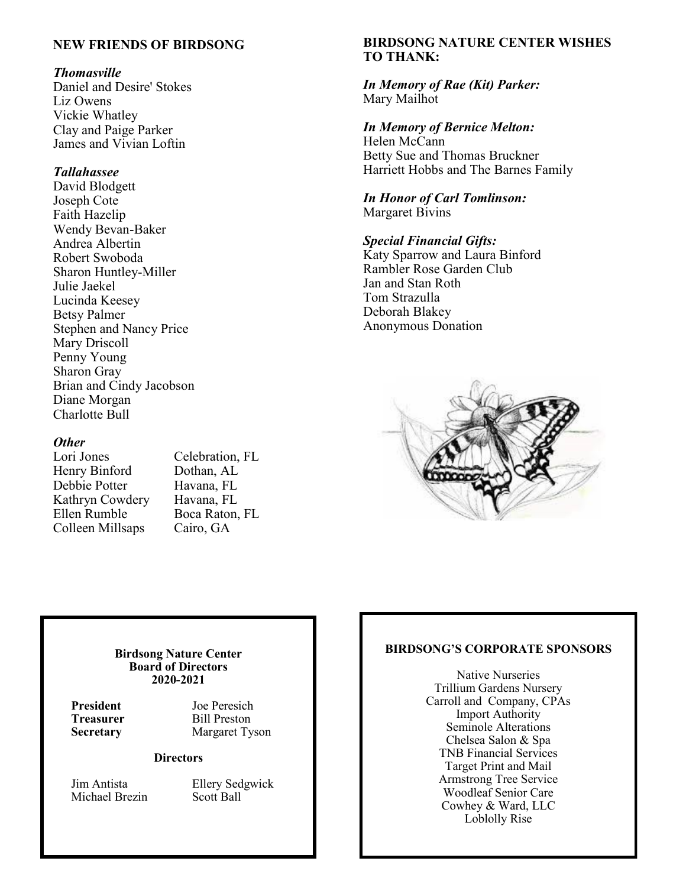# **NEW FRIENDS OF BIRDSONG**

### *Thomasville*

Daniel and Desire' Stokes Liz Owens Vickie Whatley Clay and Paige Parker James and Vivian Loftin

## *Tallahassee*

David Blodgett Joseph Cote Faith Hazelip Wendy Bevan-Baker Andrea Albertin Robert Swoboda Sharon Huntley-Miller Julie Jaekel Lucinda Keesey Betsy Palmer Stephen and Nancy Price Mary Driscoll Penny Young Sharon Gray Brian and Cindy Jacobson Diane Morgan Charlotte Bull

## *Other*

Lori Jones Celebration, FL Henry Binford Dothan, AL Debbie Potter Havana, FL<br>Kathrvn Cowdery Havana, FL Kathryn Cowdery<br>Ellen Rumble Colleen Millsaps Cairo, GA

Boca Raton, FL

# **BIRDSONG NATURE CENTER WISHES TO THANK:**

*In Memory of Rae (Kit) Parker:* Mary Mailhot

*In Memory of Bernice Melton:* Helen McCann Betty Sue and Thomas Bruckner Harriett Hobbs and The Barnes Family

*In Honor of Carl Tomlinson:* Margaret Bivins

*Special Financial Gifts:* Katy Sparrow and Laura Binford Rambler Rose Garden Club Jan and Stan Roth Tom Strazulla Deborah Blakey Anonymous Donation



#### **Birdsong Nature Center Board of Directors 2020-2021**

**President** Joe Peresich **Treasurer** Bill Preston **Secretary** Margaret Tyson

#### **Directors**

Michael Brezin Scott Ball

Jim Antista Ellery Sedgwick

### **BIRDSONG'S CORPORATE SPONSORS**

Native Nurseries Trillium Gardens Nursery Carroll and Company, CPAs Import Authority Seminole Alterations Chelsea Salon & Spa TNB Financial Services Target Print and Mail Armstrong Tree Service Woodleaf Senior Care Cowhey & Ward, LLC Loblolly Rise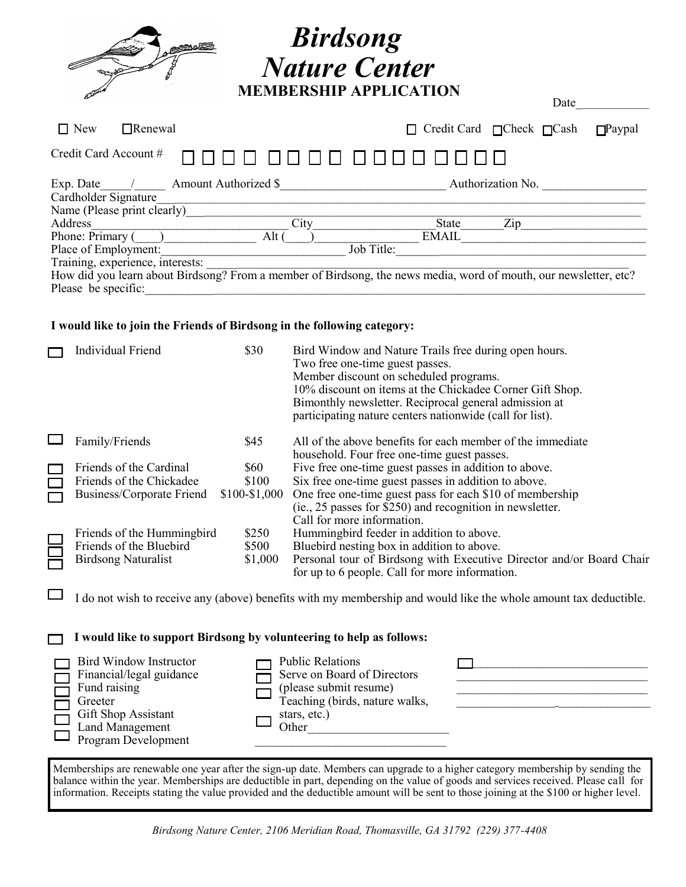|                                                                                                           | <b>Birdsong</b><br><b>Nature Center</b><br><b>MEMBERSHIP APPLICATION</b><br>Date                                               |
|-----------------------------------------------------------------------------------------------------------|--------------------------------------------------------------------------------------------------------------------------------|
| $\Box$ New<br>$\Box$ Renewal                                                                              | Credit Card $\Box$ Check $\Box$ Cash<br>$\Box$ Paypal                                                                          |
| Credit Card Account #                                                                                     |                                                                                                                                |
| Exp. Date / Amount Authorized \$ Authorization No.<br>Cardholder Signature<br>Name (Please print clearly) |                                                                                                                                |
| City<br>Address<br>Phone: Primary ()<br>Alt $($                                                           | Zip<br>State<br>EMAIL                                                                                                          |
| Place of Employment:<br>Training, experience, interests:<br>Please be specific:                           | Job Title:<br>How did you learn about Birdsong? From a member of Birdsong, the news media, word of mouth, our newsletter, etc? |

#### **I would like to join the Friends of Birdsong in the following category:**

| Individual Friend          | \$30          | Bird Window and Nature Trails free during open hours.<br>Two free one-time guest passes.<br>Member discount on scheduled programs.<br>10% discount on items at the Chickadee Corner Gift Shop.<br>Bimonthly newsletter. Reciprocal general admission at<br>participating nature centers nationwide (call for list). |
|----------------------------|---------------|---------------------------------------------------------------------------------------------------------------------------------------------------------------------------------------------------------------------------------------------------------------------------------------------------------------------|
| Family/Friends             | \$45          | All of the above benefits for each member of the immediate<br>household. Four free one-time guest passes.                                                                                                                                                                                                           |
| Friends of the Cardinal    | \$60          | Five free one-time guest passes in addition to above.                                                                                                                                                                                                                                                               |
| Friends of the Chickadee   | \$100         | Six free one-time guest passes in addition to above.                                                                                                                                                                                                                                                                |
| Business/Corporate Friend  | $$100-$1,000$ | One free one-time guest pass for each \$10 of membership                                                                                                                                                                                                                                                            |
|                            |               | (ie., 25 passes for \$250) and recognition in newsletter.<br>Call for more information.                                                                                                                                                                                                                             |
| Friends of the Hummingbird | \$250         | Hummingbird feeder in addition to above.                                                                                                                                                                                                                                                                            |
| Friends of the Bluebird    | \$500         | Bluebird nesting box in addition to above.                                                                                                                                                                                                                                                                          |
| <b>Birdsong Naturalist</b> | \$1,000       | Personal tour of Birdsong with Executive Director and/or Board Chair<br>for up to 6 people. Call for more information.                                                                                                                                                                                              |
|                            |               |                                                                                                                                                                                                                                                                                                                     |

 $\Box$  I do not wish to receive any (above) benefits with my membership and would like the whole amount tax deductible.

#### **I would like to support Birdsong by volunteering to help as follows:**   $\Box$

| Bird Window Instructor<br>Financial/legal guidance<br>Fund raising<br>Greeter<br>Gift Shop Assistant<br>Land Management<br>Program Development | <b>Public Relations</b><br>Serve on Board of Directors<br>(please submit resume)<br>Teaching (birds, nature walks,<br>stars, etc.)<br>Other |  |
|------------------------------------------------------------------------------------------------------------------------------------------------|---------------------------------------------------------------------------------------------------------------------------------------------|--|
|------------------------------------------------------------------------------------------------------------------------------------------------|---------------------------------------------------------------------------------------------------------------------------------------------|--|

Memberships are renewable one year after the sign-up date. Members can upgrade to a higher category membership by sending the balance within the year. Memberships are deductible in part, depending on the value of goods and services received. Please call for information. Receipts stating the value provided and the deductible amount will be sent to those joining at the \$100 or higher level.